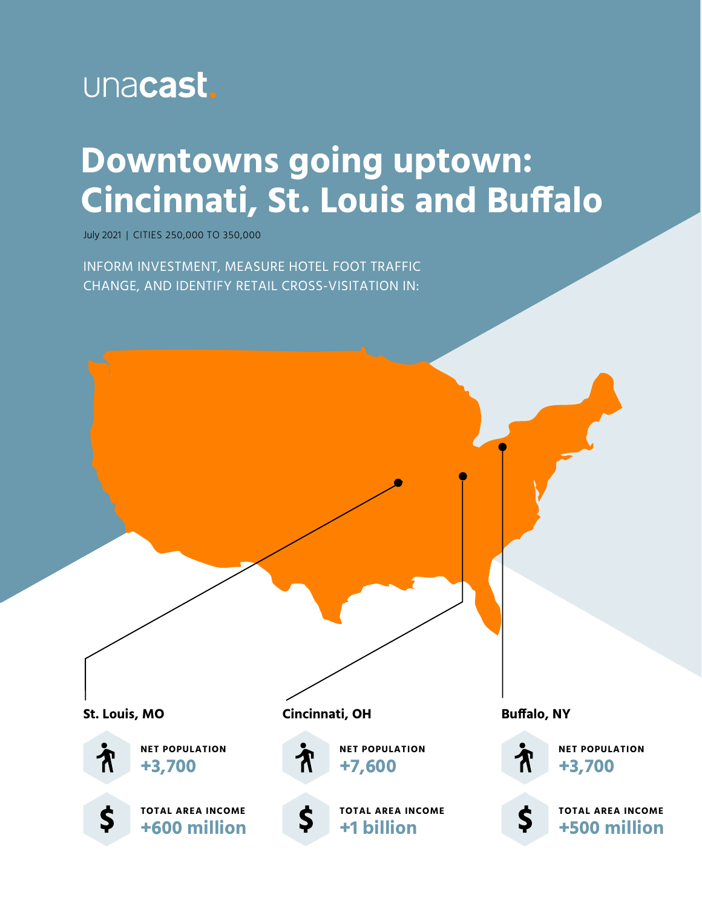

# **Downtowns going uptown: Cincinnati, St. Louis and Buffalo**

July 2021 | CITIES 250,000 TO 350,000

INFORM INVESTMENT, MEASURE HOTEL FOOT TRAFFIC CHANGE, AND IDENTIFY RETAIL CROSS-VISITATION IN:

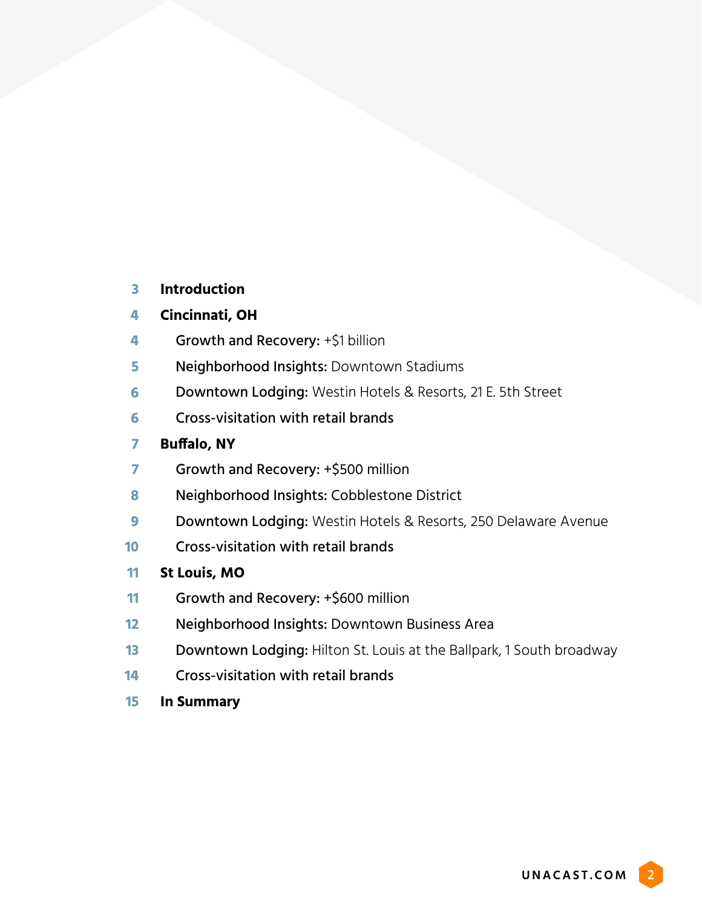#### **Introduction 3**

#### **Cincinnati, OH 4**

- Growth and Recovery: +\$1 billion **4**
- Neighborhood Insights: Downtown Stadiums **5**
- Downtown Lodging: Westin Hotels & Resorts, 21 E. 5th Street **6**
- Cross-visitation with retail brands **6**

#### **Buffalo, NY 7**

- Growth and Recovery: +\$500 million **7**
- Neighborhood Insights: Cobblestone District **8**
- Downtown Lodging: Westin Hotels & Resorts, 250 Delaware Avenue **9**
- Cross-visitation with retail brands **10**
- **St Louis, MO 11**
- Growth and Recovery: +\$600 million **11**
- Neighborhood Insights: Downtown Business Area **12**
- Downtown Lodging: Hilton St. Louis at the Ballpark, 1 South broadway **13**
- Cross-visitation with retail brands **14**
- **In Summary 15**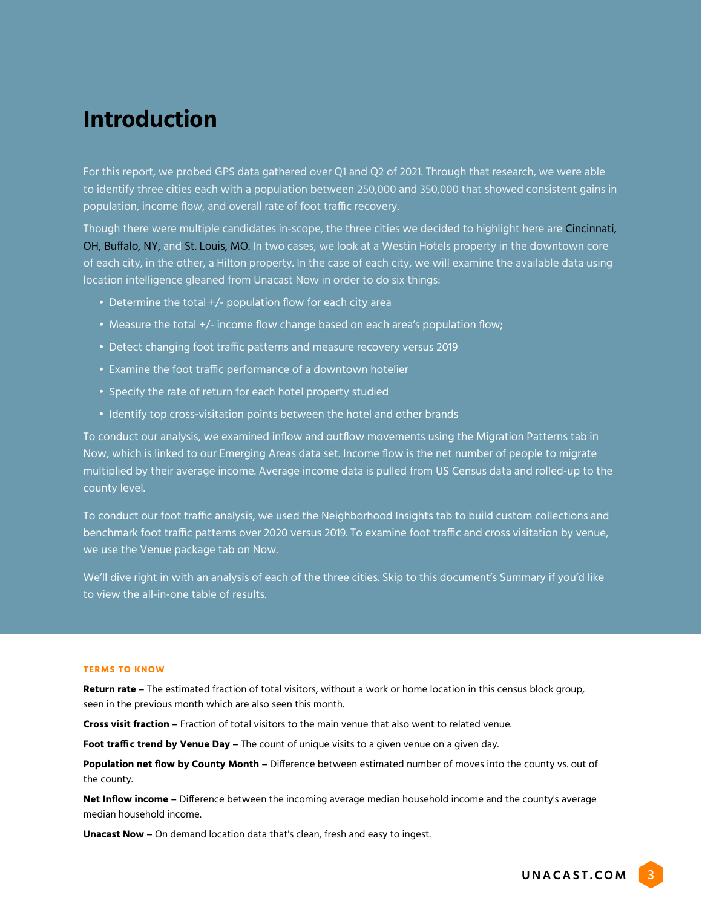## **Introduction**

For this report, we probed GPS data gathered over Q1 and Q2 of 2021. Through that research, we were able to identify three cities each with a population between 250,000 and 350,000 that showed consistent gains in population, income flow, and overall rate of foot traffic recovery.

Though there were multiple candidates in-scope, the three cities we decided to highlight here are Cincinnati, OH, Buffalo, NY, and St. Louis, MO. In two cases, we look at a Westin Hotels property in the downtown core of each city, in the other, a Hilton property. In the case of each city, we will examine the available data using location intelligence gleaned from Unacast Now in order to do six things:

- Determine the total +/- population flow for each city area
- Measure the total +/- income flow change based on each area's population flow;
- Detect changing foot traffic patterns and measure recovery versus 2019
- Examine the foot traffic performance of a downtown hotelier
- Specify the rate of return for each hotel property studied
- Identify top cross-visitation points between the hotel and other brands

To conduct our analysis, we examined inflow and outflow movements using the Migration Patterns tab in Now, which is linked to our Emerging Areas data set. Income flow is the net number of people to migrate multiplied by their average income. Average income data is pulled from US Census data and rolled-up to the county level.

To conduct our foot traffic analysis, we used the Neighborhood Insights tab to build custom collections and benchmark foot traffic patterns over 2020 versus 2019. To examine foot traffic and cross visitation by venue, we use the Venue package tab on Now.

We'll dive right in with an analysis of each of the three cities. Skip to this document's Summary if you'd like to view the all-in-one table of results.

#### **TERMS TO KNOW**

**Return rate –** The estimated fraction of total visitors, without a work or home location in this census block group, seen in the previous month which are also seen this month.

**Cross visit fraction –** Fraction of total visitors to the main venue that also went to related venue.

**Foot traffic trend by Venue Day –** The count of unique visits to a given venue on a given day.

**Population net flow by County Month –** Difference between estimated number of moves into the county vs. out of the county.

**Net Inflow income –** Difference between the incoming average median household income and the county's average median household income.

**Unacast Now –** On demand location data that's clean, fresh and easy to ingest.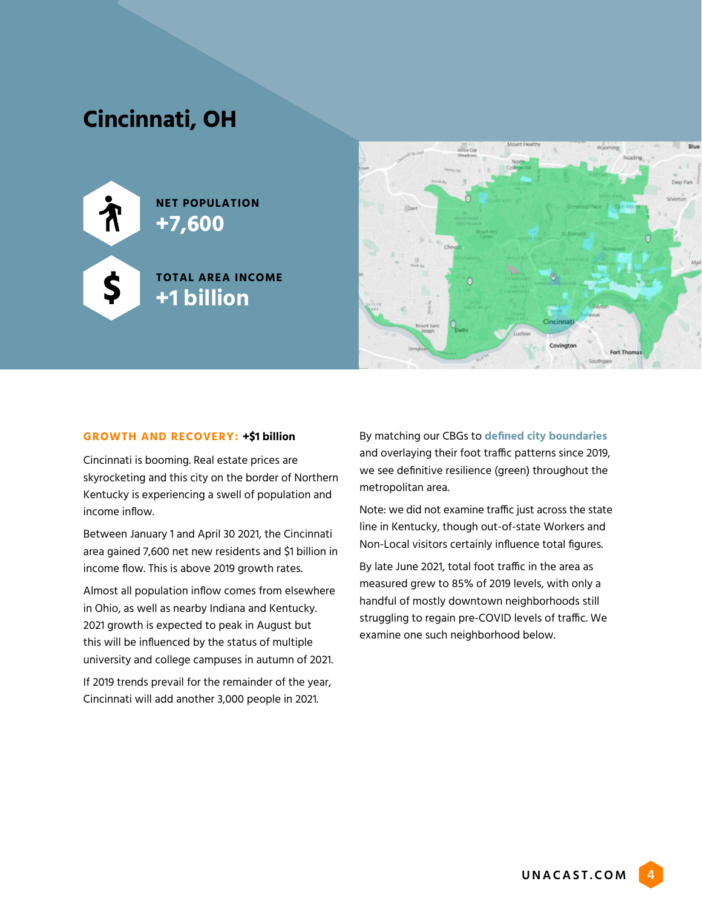## **Cincinnati, OH**





#### **GROWTH AND RECOVERY: +\$1 billion**

Cincinnati is booming. Real estate prices are skyrocketing and this city on the border of Northern Kentucky is experiencing a swell of population and income inflow.

Between January 1 and April 30 2021, the Cincinnati area gained 7,600 net new residents and \$1 billion in income flow. This is above 2019 growth rates.

Almost all population inflow comes from elsewhere in Ohio, as well as nearby Indiana and Kentucky. 2021 growth is expected to peak in August but this will be influenced by the status of multiple university and college campuses in autumn of 2021.

If 2019 trends prevail for the remainder of the year, Cincinnati will add another 3,000 people in 2021.

By matching our CBGs to **[defined city boundaries](https://data-cagisportal.opendata.arcgis.com/datasets/cincinnati-city-boundary/explore)**  and overlaying their foot traffic patterns since 2019, we see definitive resilience (green) throughout the metropolitan area.

Note: we did not examine traffic just across the state line in Kentucky, though out-of-state Workers and Non-Local visitors certainly influence total figures.

By late June 2021, total foot traffic in the area as measured grew to 85% of 2019 levels, with only a handful of mostly downtown neighborhoods still struggling to regain pre-COVID levels of traffic. We examine one such neighborhood below.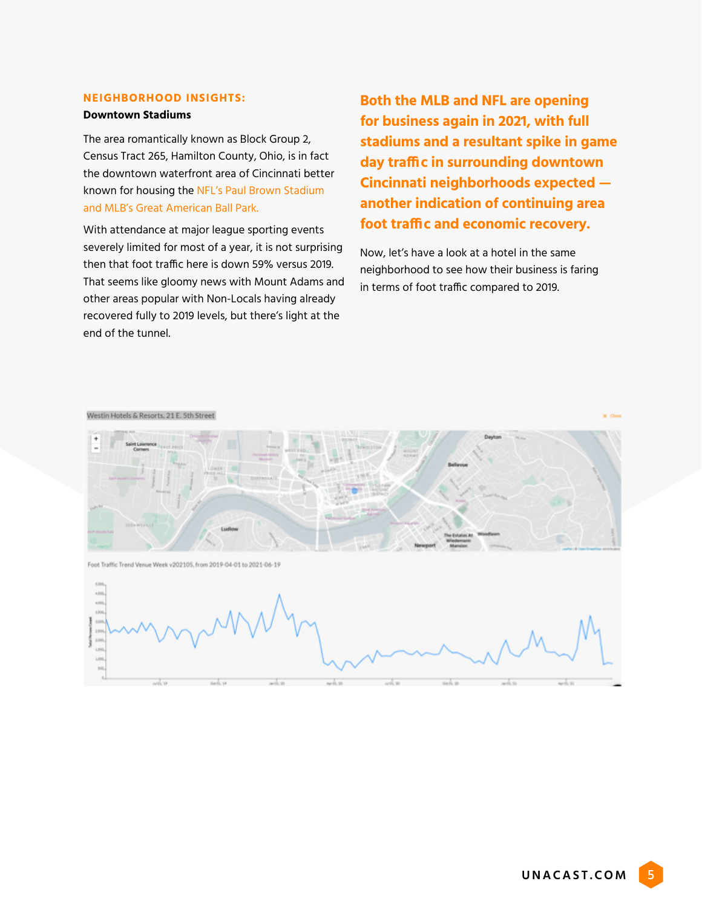#### **NEIGHBORHOOD INSIGHTS:**

#### **Downtown Stadiums**

The area romantically known as Block Group 2, Census Tract 265, Hamilton County, Ohio, is in fact the downtown waterfront area of Cincinnati better known for housing the NFL's Paul Brown Stadium and MLB's Great American Ball Park.

With attendance at major league sporting events severely limited for most of a year, it is not surprising then that foot traffic here is down 59% versus 2019. That seems like gloomy news with Mount Adams and other areas popular with Non-Locals having already recovered fully to 2019 levels, but there's light at the end of the tunnel.

**Both the MLB and NFL are opening for business again in 2021, with full stadiums and a resultant spike in game day traffic in surrounding downtown Cincinnati neighborhoods expected another indication of continuing area foot traffic and economic recovery.** 

Now, let's have a look at a hotel in the same neighborhood to see how their business is faring in terms of foot traffic compared to 2019.

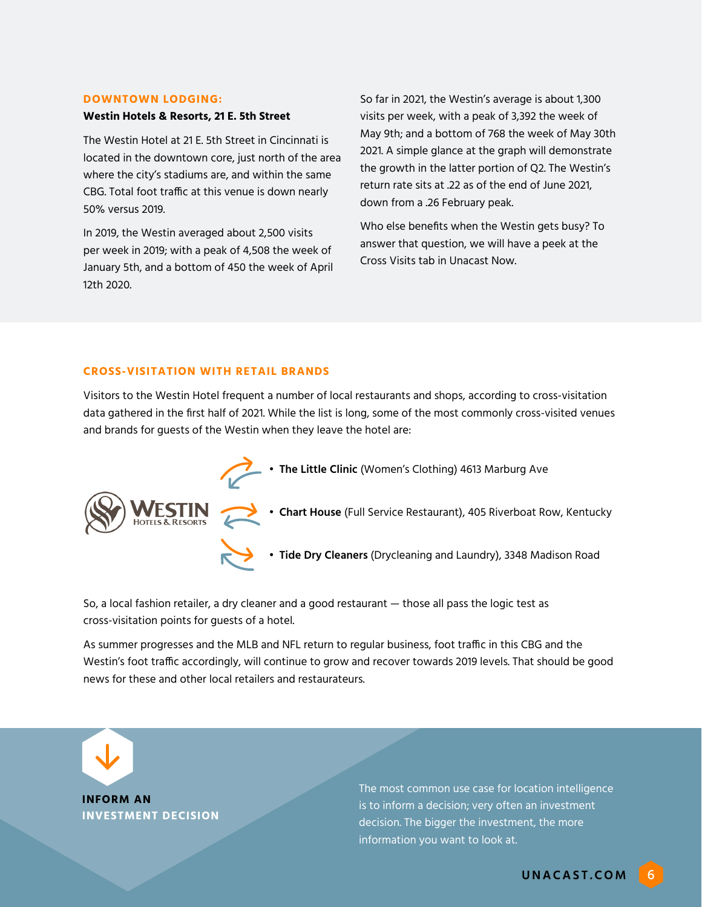#### **DOWNTOWN LODGING:**

#### **Westin Hotels & Resorts, 21 E. 5th Street**

The Westin Hotel at 21 E. 5th Street in Cincinnati is located in the downtown core, just north of the area where the city's stadiums are, and within the same CBG. Total foot traffic at this venue is down nearly 50% versus 2019.

In 2019, the Westin averaged about 2,500 visits per week in 2019; with a peak of 4,508 the week of January 5th, and a bottom of 450 the week of April 12th 2020.

So far in 2021, the Westin's average is about 1,300 visits per week, with a peak of 3,392 the week of May 9th; and a bottom of 768 the week of May 30th 2021. A simple glance at the graph will demonstrate the growth in the latter portion of Q2. The Westin's return rate sits at .22 as of the end of June 2021, down from a .26 February peak.

Who else benefits when the Westin gets busy? To answer that question, we will have a peek at the Cross Visits tab in Unacast Now.

#### **CROSS-VISITATION WITH RETAIL BRANDS**

Visitors to the Westin Hotel frequent a number of local restaurants and shops, according to cross-visitation data gathered in the first half of 2021. While the list is long, some of the most commonly cross-visited venues and brands for guests of the Westin when they leave the hotel are:

- The Little Clinic (Women's Clothing) 4613 Marburg Ave • **Chart House** (Full Service Restaurant), 405 Riverboat Row, Kentucky
	- **• Tide Dry Cleaners** (Drycleaning and Laundry), 3348 Madison Road

So, a local fashion retailer, a dry cleaner and a good restaurant — those all pass the logic test as cross-visitation points for guests of a hotel.

As summer progresses and the MLB and NFL return to regular business, foot traffic in this CBG and the Westin's foot traffic accordingly, will continue to grow and recover towards 2019 levels. That should be good news for these and other local retailers and restaurateurs.

**INFORM AN INVESTMENT DECISION**

The most common use case for location intelligence is to inform a decision; very often an investment decision. The bigger the investment, the more information you want to look at.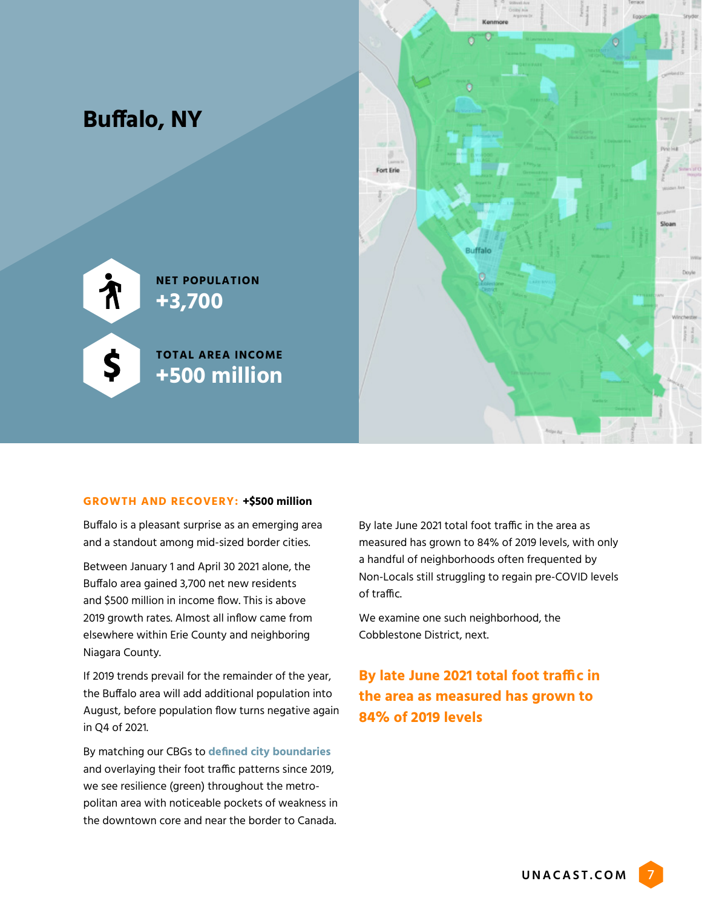

#### **GROWTH AND RECOVERY: +\$500 million**

Buffalo is a pleasant surprise as an emerging area and a standout among mid-sized border cities.

Between January 1 and April 30 2021 alone, the Buffalo area gained 3,700 net new residents and \$500 million in income flow. This is above 2019 growth rates. Almost all inflow came from elsewhere within Erie County and neighboring Niagara County.

If 2019 trends prevail for the remainder of the year, the Buffalo area will add additional population into August, before population flow turns negative again in Q4 of 2021.

By matching our CBGs to **[defined city boundaries](https://data.buffalony.gov/Government/Municipal-Boundary/g64g-dewj)**  and overlaying their foot traffic patterns since 2019, we see resilience (green) throughout the metropolitan area with noticeable pockets of weakness in the downtown core and near the border to Canada.

By late June 2021 total foot traffic in the area as measured has grown to 84% of 2019 levels, with only a handful of neighborhoods often frequented by Non-Locals still struggling to regain pre-COVID levels of traffic.

We examine one such neighborhood, the Cobblestone District, next.

### **By late June 2021 total foot traffic in the area as measured has grown to 84% of 2019 levels**

UNACAST.COM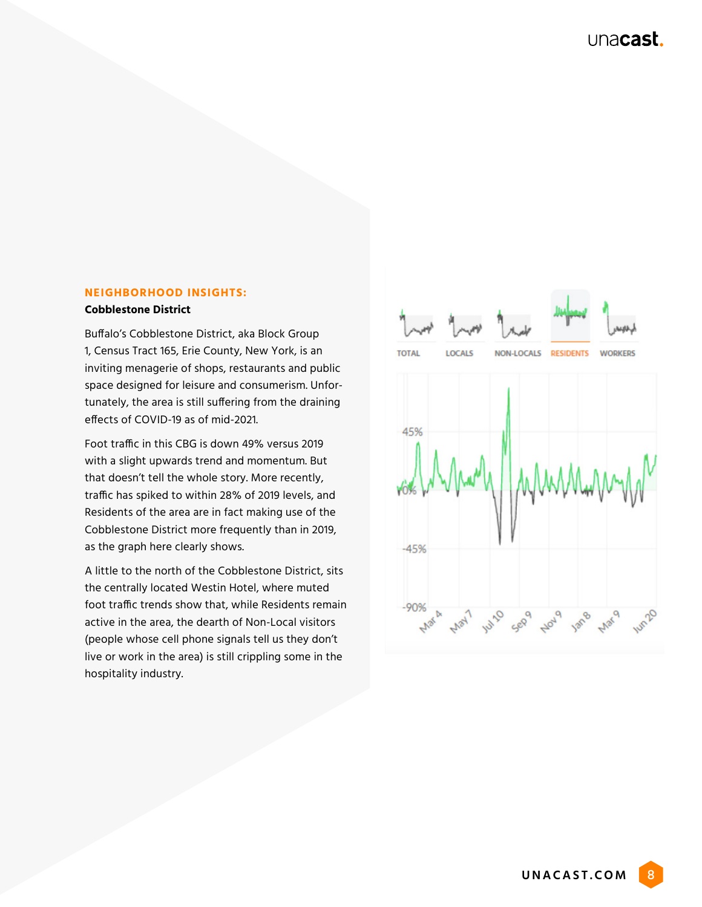#### **NEIGHBORHOOD INSIGHTS: Cobblestone District**

Buffalo's Cobblestone District, aka Block Group 1, Census Tract 165, Erie County, New York, is an inviting menagerie of shops, restaurants and public space designed for leisure and consumerism. Unfortunately, the area is still suffering from the draining effects of COVID-19 as of mid-2021.

Foot traffic in this CBG is down 49% versus 2019 with a slight upwards trend and momentum. But that doesn't tell the whole story. More recently, traffic has spiked to within 28% of 2019 levels, and Residents of the area are in fact making use of the Cobblestone District more frequently than in 2019, as the graph here clearly shows.

A little to the north of the Cobblestone District, sits the centrally located Westin Hotel, where muted foot traffic trends show that, while Residents remain active in the area, the dearth of Non-Local visitors (people whose cell phone signals tell us they don't live or work in the area) is still crippling some in the hospitality industry.

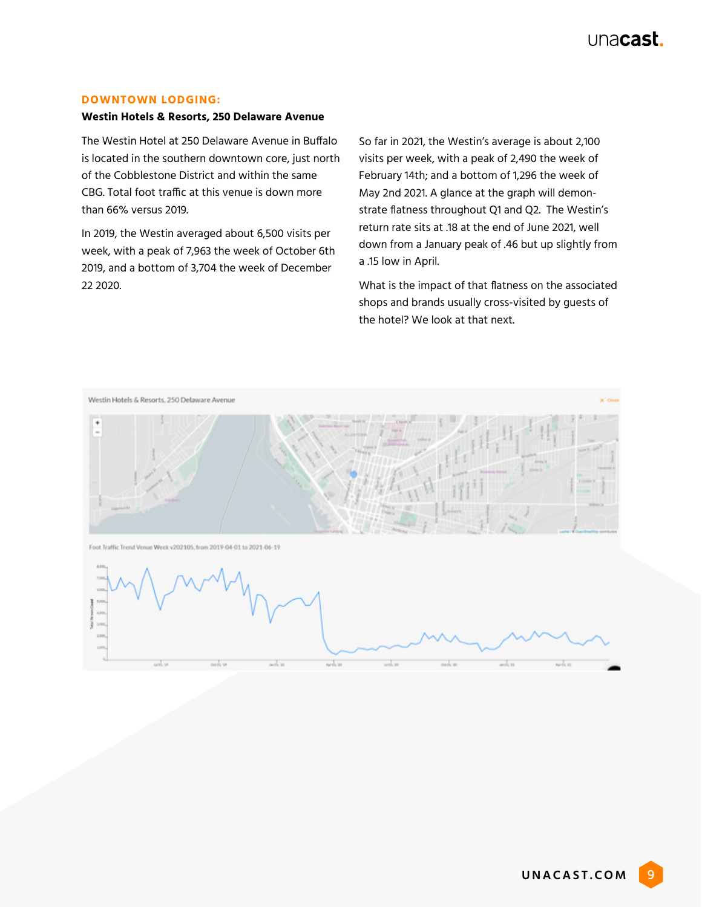#### **DOWNTOWN LODGING:**

#### **Westin Hotels & Resorts, 250 Delaware Avenue**

The Westin Hotel at 250 Delaware Avenue in Buffalo is located in the southern downtown core, just north of the Cobblestone District and within the same CBG. Total foot traffic at this venue is down more than 66% versus 2019.

In 2019, the Westin averaged about 6,500 visits per week, with a peak of 7,963 the week of October 6th 2019, and a bottom of 3,704 the week of December 22 2020.

So far in 2021, the Westin's average is about 2,100 visits per week, with a peak of 2,490 the week of February 14th; and a bottom of 1,296 the week of May 2nd 2021. A glance at the graph will demonstrate flatness throughout Q1 and Q2. The Westin's return rate sits at .18 at the end of June 2021, well down from a January peak of .46 but up slightly from a .15 low in April.

What is the impact of that flatness on the associated shops and brands usually cross-visited by guests of the hotel? We look at that next.

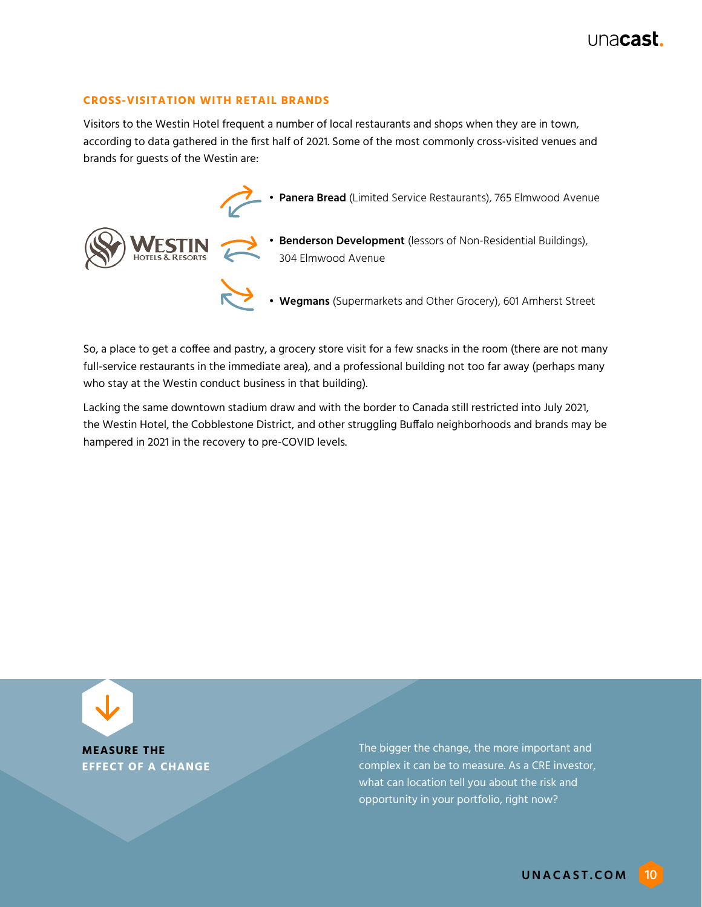#### **CROSS-VISITATION WITH RETAIL BRANDS**

Visitors to the Westin Hotel frequent a number of local restaurants and shops when they are in town, according to data gathered in the first half of 2021. Some of the most commonly cross-visited venues and brands for guests of the Westin are:



So, a place to get a coffee and pastry, a grocery store visit for a few snacks in the room (there are not many full-service restaurants in the immediate area), and a professional building not too far away (perhaps many who stay at the Westin conduct business in that building).

Lacking the same downtown stadium draw and with the border to Canada still restricted into July 2021, the Westin Hotel, the Cobblestone District, and other struggling Buffalo neighborhoods and brands may be hampered in 2021 in the recovery to pre-COVID levels.

**MEASURE THE EFFECT OF A CHANGE** 

The bigger the change, the more important and complex it can be to measure. As a CRE investor, what can location tell you about the risk and opportunity in your portfolio, right now?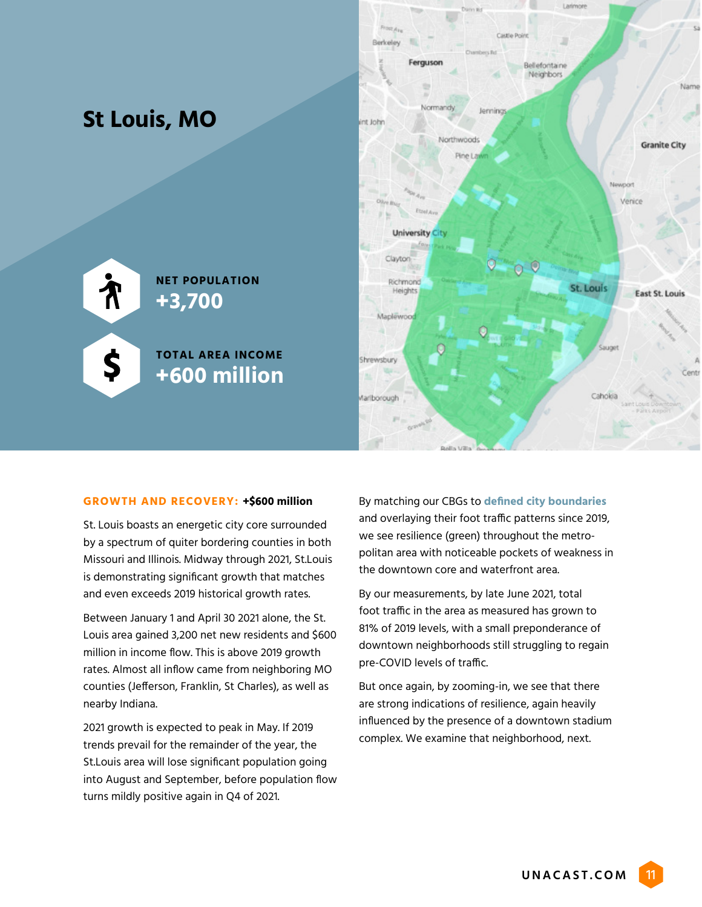

#### **GROWTH AND RECOVERY: +\$600 million**

St. Louis boasts an energetic city core surrounded by a spectrum of quiter bordering counties in both Missouri and Illinois. Midway through 2021, St.Louis is demonstrating significant growth that matches and even exceeds 2019 historical growth rates.

Between January 1 and April 30 2021 alone, the St. Louis area gained 3,200 net new residents and \$600 million in income flow. This is above 2019 growth rates. Almost all inflow came from neighboring MO counties (Jefferson, Franklin, St Charles), as well as nearby Indiana.

2021 growth is expected to peak in May. If 2019 trends prevail for the remainder of the year, the St.Louis area will lose significant population going into August and September, before population flow turns mildly positive again in Q4 of 2021.

By matching our CBGs to **[defined city boundaries](https://stlcity.maps.arcgis.com/home/webmap/viewer.html?webmap=e0d43743804f4827bd21a91cd2970f04)**  and overlaying their foot traffic patterns since 2019, we see resilience (green) throughout the metropolitan area with noticeable pockets of weakness in the downtown core and waterfront area.

By our measurements, by late June 2021, total foot traffic in the area as measured has grown to 81% of 2019 levels, with a small preponderance of downtown neighborhoods still struggling to regain pre-COVID levels of traffic.

But once again, by zooming-in, we see that there are strong indications of resilience, again heavily influenced by the presence of a downtown stadium complex. We examine that neighborhood, next.

UNACAST.COM 11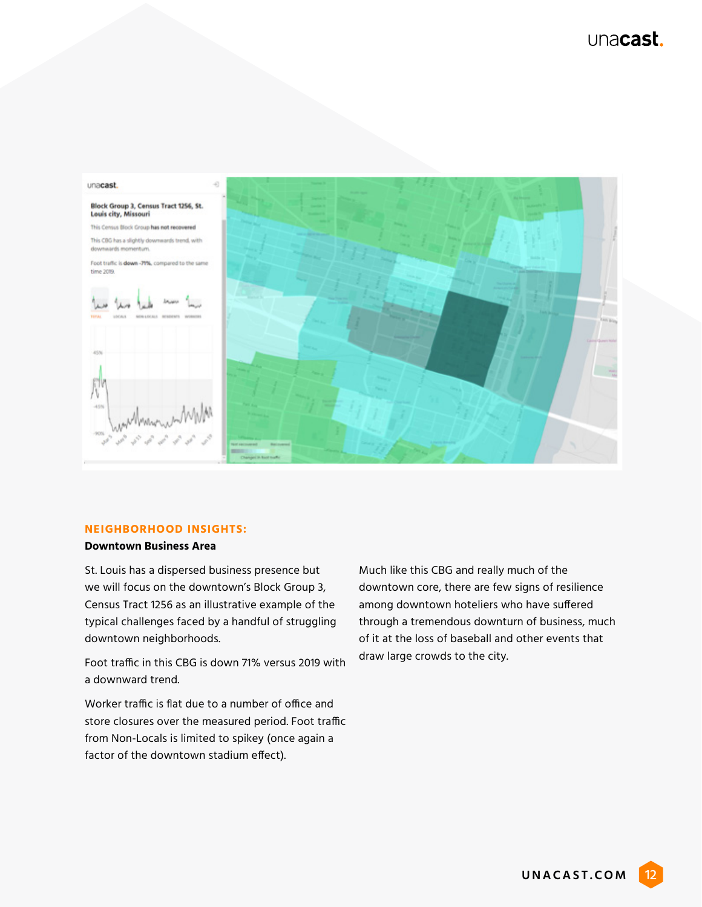

#### **NEIGHBORHOOD INSIGHTS:**

#### **Downtown Business Area**

St. Louis has a dispersed business presence but we will focus on the downtown's Block Group 3, Census Tract 1256 as an illustrative example of the typical challenges faced by a handful of struggling downtown neighborhoods.

Foot traffic in this CBG is down 71% versus 2019 with a downward trend.

Worker traffic is flat due to a number of office and store closures over the measured period. Foot traffic from Non-Locals is limited to spikey (once again a factor of the downtown stadium effect).

Much like this CBG and really much of the downtown core, there are few signs of resilience among downtown hoteliers who have suffered through a tremendous downturn of business, much of it at the loss of baseball and other events that draw large crowds to the city.

UNACAST.COM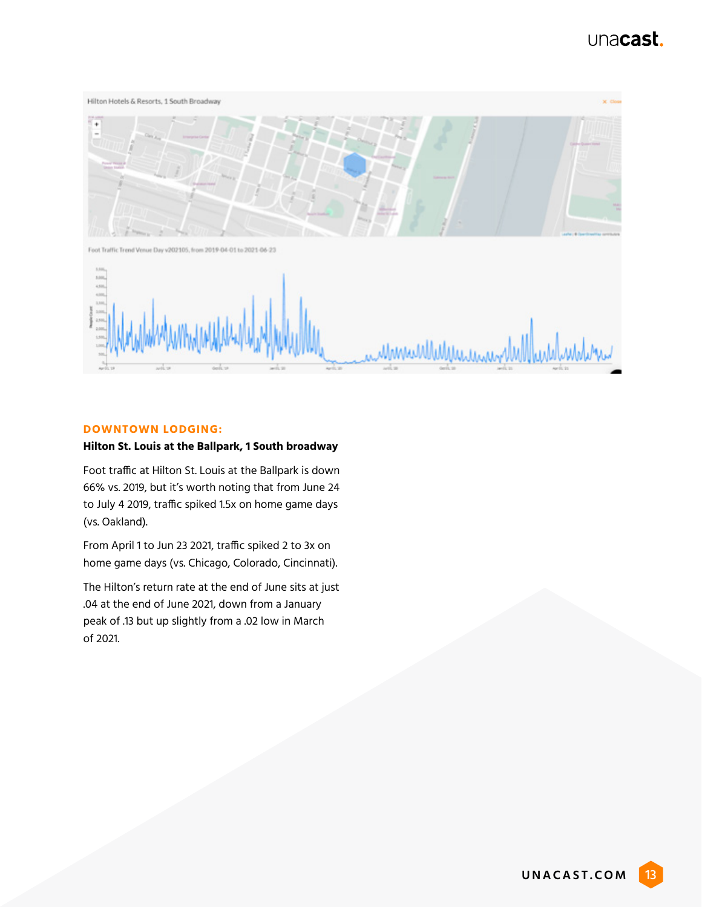

#### **DOWNTOWN LODGING:**

#### **Hilton St. Louis at the Ballpark, 1 South broadway**

Foot traffic at Hilton St. Louis at the Ballpark is down 66% vs. 2019, but it's worth noting that from June 24 to July 4 2019, traffic spiked 1.5x on home game days (vs. Oakland).

From April 1 to Jun 23 2021, traffic spiked 2 to 3x on home game days (vs. Chicago, Colorado, Cincinnati).

The Hilton's return rate at the end of June sits at just .04 at the end of June 2021, down from a January peak of .13 but up slightly from a .02 low in March of 2021.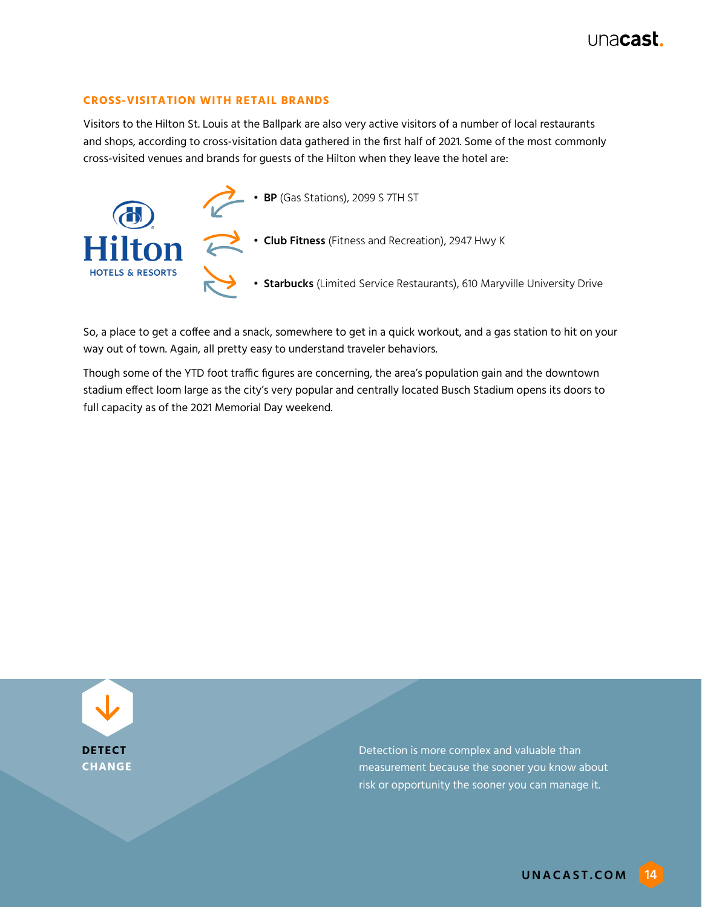#### **CROSS-VISITATION WITH RETAIL BRANDS**

Visitors to the Hilton St. Louis at the Ballpark are also very active visitors of a number of local restaurants and shops, according to cross-visitation data gathered in the first half of 2021. Some of the most commonly cross-visited venues and brands for guests of the Hilton when they leave the hotel are:



So, a place to get a coffee and a snack, somewhere to get in a quick workout, and a gas station to hit on your way out of town. Again, all pretty easy to understand traveler behaviors.

Though some of the YTD foot traffic figures are concerning, the area's population gain and the downtown stadium effect loom large as the city's very popular and centrally located Busch Stadium opens its doors to full capacity as of the 2021 Memorial Day weekend.



Detection is more complex and valuable than measurement because the sooner you know about risk or opportunity the sooner you can manage it.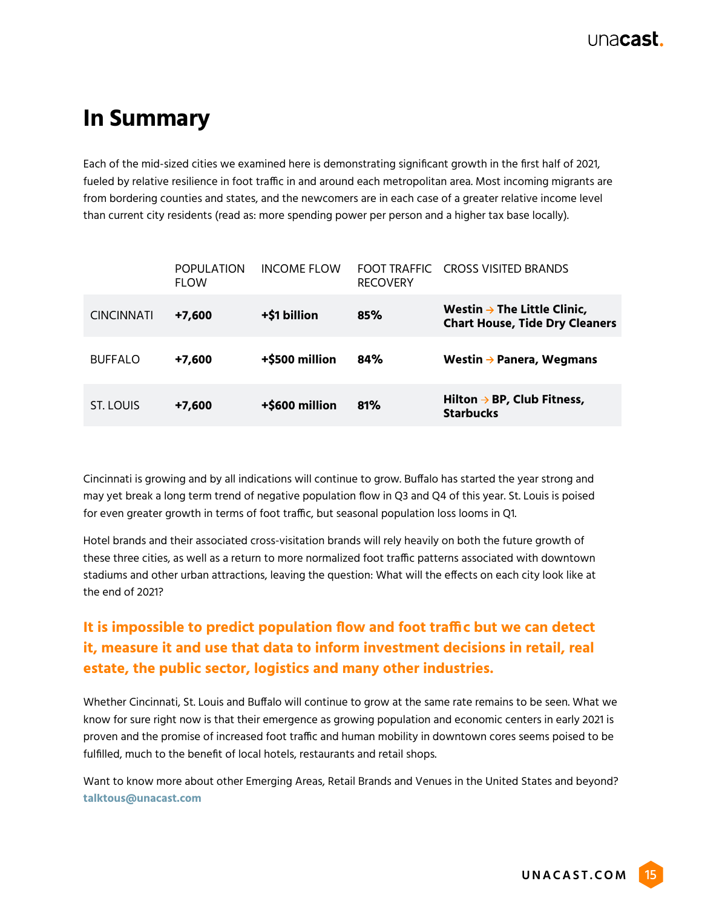## **In Summary**

Each of the mid-sized cities we examined here is demonstrating significant growth in the first half of 2021, fueled by relative resilience in foot traffic in and around each metropolitan area. Most incoming migrants are from bordering counties and states, and the newcomers are in each case of a greater relative income level than current city residents (read as: more spending power per person and a higher tax base locally).

|                   | <b>POPULATION</b><br><b>FI OW</b> | INCOME FLOW    | FOOT TRAFFIC<br><b>RECOVERY</b> | CROSS VISITED BRANDS                                                             |
|-------------------|-----------------------------------|----------------|---------------------------------|----------------------------------------------------------------------------------|
| <b>CINCINNATI</b> | $+7,600$                          | +\$1 billion   | 85%                             | Westin $\rightarrow$ The Little Clinic,<br><b>Chart House, Tide Dry Cleaners</b> |
| <b>BUFFALO</b>    | $+7,600$                          | +\$500 million | 84%                             | Westin $\rightarrow$ Panera, Wegmans                                             |
| ST. LOUIS         | $+7,600$                          | +\$600 million | 81%                             | Hilton $\rightarrow$ BP, Club Fitness,<br><b>Starbucks</b>                       |

Cincinnati is growing and by all indications will continue to grow. Buffalo has started the year strong and may yet break a long term trend of negative population flow in Q3 and Q4 of this year. St. Louis is poised for even greater growth in terms of foot traffic, but seasonal population loss looms in Q1.

Hotel brands and their associated cross-visitation brands will rely heavily on both the future growth of these three cities, as well as a return to more normalized foot traffic patterns associated with downtown stadiums and other urban attractions, leaving the question: What will the effects on each city look like at the end of 2021?

### **It is impossible to predict population flow and foot traffic but we can detect it, measure it and use that data to inform investment decisions in retail, real estate, the public sector, logistics and many other industries.**

Whether Cincinnati, St. Louis and Buffalo will continue to grow at the same rate remains to be seen. What we know for sure right now is that their emergence as growing population and economic centers in early 2021 is proven and the promise of increased foot traffic and human mobility in downtown cores seems poised to be fulfilled, much to the benefit of local hotels, restaurants and retail shops.

Want to know more about other Emerging Areas, Retail Brands and Venues in the United States and beyond? **[talktous@unacast.com](mailto:talktous%40unacast.com?subject=)**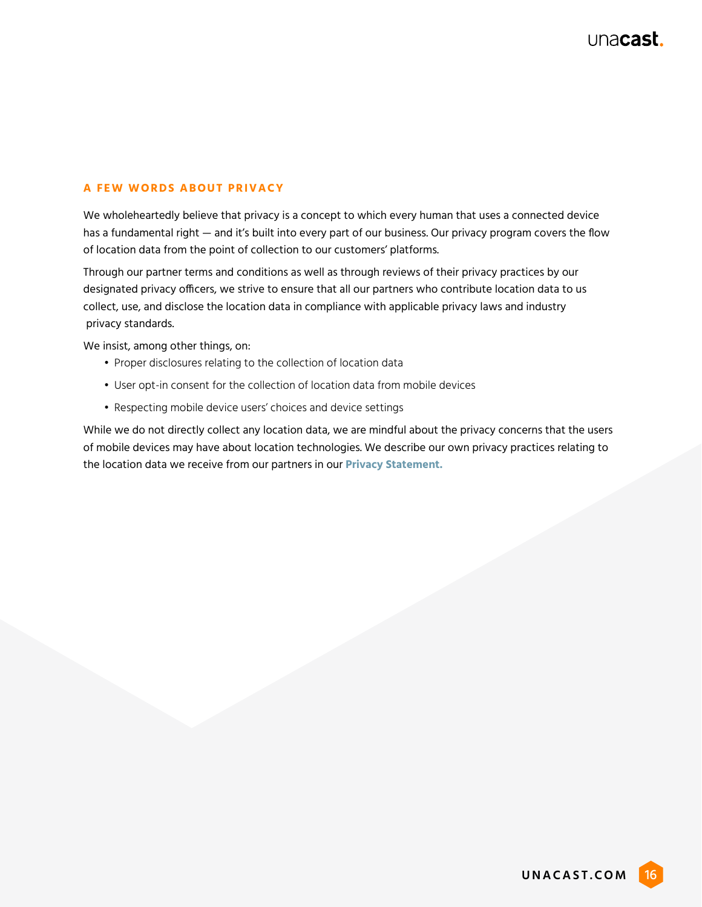#### **A FEW WORDS ABOUT PRIVACY**

We wholeheartedly believe that privacy is a concept to which every human that uses a connected device has a fundamental right — and it's built into every part of our business. Our privacy program covers the flow of location data from the point of collection to our customers' platforms.

Through our partner terms and conditions as well as through reviews of their privacy practices by our designated privacy officers, we strive to ensure that all our partners who contribute location data to us collect, use, and disclose the location data in compliance with applicable privacy laws and industry privacy standards.

We insist, among other things, on:

- Proper disclosures relating to the collection of location data
- User opt-in consent for the collection of location data from mobile devices
- Respecting mobile device users' choices and device settings

While we do not directly collect any location data, we are mindful about the privacy concerns that the users of mobile devices may have about location technologies. We describe our own privacy practices relating to the location data we receive from our partners in our **[Privacy Statement.](https://www.unacast.com/privacy)**